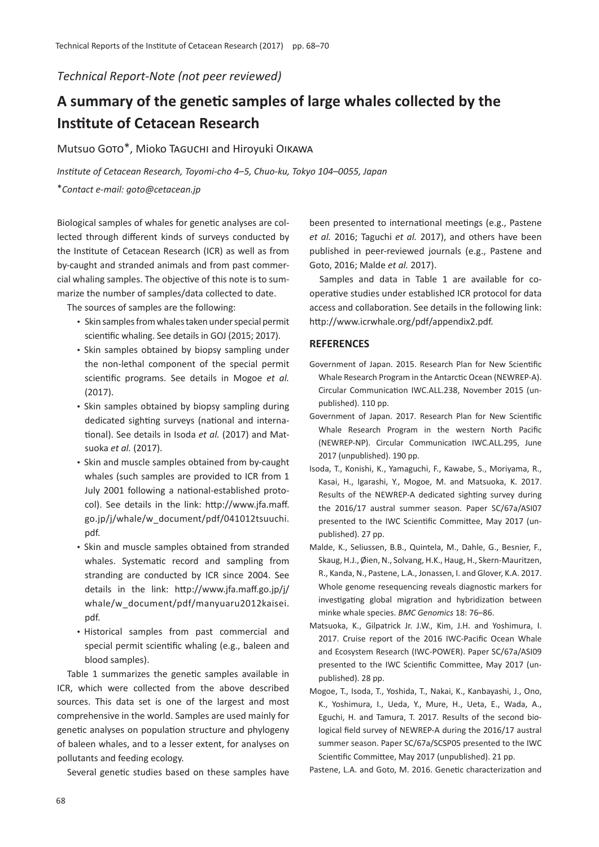## *Technical Report-Note (not peer reviewed)*

## **A summary of the genetic samples of large whales collected by the Institute of Cetacean Research**

Mutsuo Goto\*, Mioko Taguchi and Hiroyuki Oikawa

*Institute of Cetacean Research, Toyomi-cho 4*–*5, Chuo-ku, Tokyo 104*–*0055, Japan* \**Contact e-mail: goto@cetacean.jp*

Biological samples of whales for genetic analyses are collected through different kinds of surveys conducted by the Institute of Cetacean Research (ICR) as well as from by-caught and stranded animals and from past commercial whaling samples. The objective of this note is to summarize the number of samples/data collected to date.

The sources of samples are the following:

- Skin samples from whales taken under special permit scientific whaling. See details in GOJ (2015; 2017).
- Skin samples obtained by biopsy sampling under the non-lethal component of the special permit scientific programs. See details in Mogoe *et al.* (2017).
- Skin samples obtained by biopsy sampling during dedicated sighting surveys (national and international). See details in Isoda *et al.* (2017) and Matsuoka *et al.* (2017).
- Skin and muscle samples obtained from by-caught whales (such samples are provided to ICR from 1 July 2001 following a national-established protocol). See details in the link: http://www.jfa.maff. go.jp/j/whale/w\_document/pdf/041012tsuuchi. pdf.
- Skin and muscle samples obtained from stranded whales. Systematic record and sampling from stranding are conducted by ICR since 2004. See details in the link: http://www.jfa.maff.go.jp/j/ whale/w\_document/pdf/manyuaru2012kaisei. pdf.
- Historical samples from past commercial and special permit scientific whaling (e.g., baleen and blood samples).

Table 1 summarizes the genetic samples available in ICR, which were collected from the above described sources. This data set is one of the largest and most comprehensive in the world. Samples are used mainly for genetic analyses on population structure and phylogeny of baleen whales, and to a lesser extent, for analyses on pollutants and feeding ecology.

Several genetic studies based on these samples have

been presented to international meetings (e.g., Pastene *et al.* 2016; Taguchi *et al.* 2017), and others have been published in peer-reviewed journals (e.g., Pastene and Goto, 2016; Malde *et al.* 2017).

Samples and data in Table 1 are available for cooperative studies under established ICR protocol for data access and collaboration. See details in the following link: http://www.icrwhale.org/pdf/appendix2.pdf.

## **REFERENCES**

- Government of Japan. 2015. Research Plan for New Scientific Whale Research Program in the Antarctic Ocean (NEWREP-A). Circular Communication IWC.ALL.238, November 2015 (unpublished). 110 pp.
- Government of Japan. 2017. Research Plan for New Scientific Whale Research Program in the western North Pacific (NEWREP-NP). Circular Communication IWC.ALL.295, June 2017 (unpublished). 190 pp.
- Isoda, T., Konishi, K., Yamaguchi, F., Kawabe, S., Moriyama, R., Kasai, H., Igarashi, Y., Mogoe, M. and Matsuoka, K. 2017. Results of the NEWREP-A dedicated sighting survey during the 2016/17 austral summer season. Paper SC/67a/ASI07 presented to the IWC Scientific Committee, May 2017 (unpublished). 27 pp.
- Malde, K., Seliussen, B.B., Quintela, M., Dahle, G., Besnier, F., Skaug, H.J., Øien, N., Solvang, H.K., Haug, H., Skern-Mauritzen, R., Kanda, N., Pastene, L.A., Jonassen, I. and Glover, K.A. 2017. Whole genome resequencing reveals diagnostic markers for investigating global migration and hybridization between minke whale species. *BMC Genomics* 18: 76–86.
- Matsuoka, K., Gilpatrick Jr. J.W., Kim, J.H. and Yoshimura, I. 2017. Cruise report of the 2016 IWC-Pacific Ocean Whale and Ecosystem Research (IWC-POWER). Paper SC/67a/ASI09 presented to the IWC Scientific Committee, May 2017 (unpublished). 28 pp.
- Mogoe, T., Isoda, T., Yoshida, T., Nakai, K., Kanbayashi, J., Ono, K., Yoshimura, I., Ueda, Y., Mure, H., Ueta, E., Wada, A., Eguchi, H. and Tamura, T. 2017. Results of the second biological field survey of NEWREP-A during the 2016/17 austral summer season. Paper SC/67a/SCSP05 presented to the IWC Scientific Committee, May 2017 (unpublished). 21 pp.

Pastene, L.A. and Goto, M. 2016. Genetic characterization and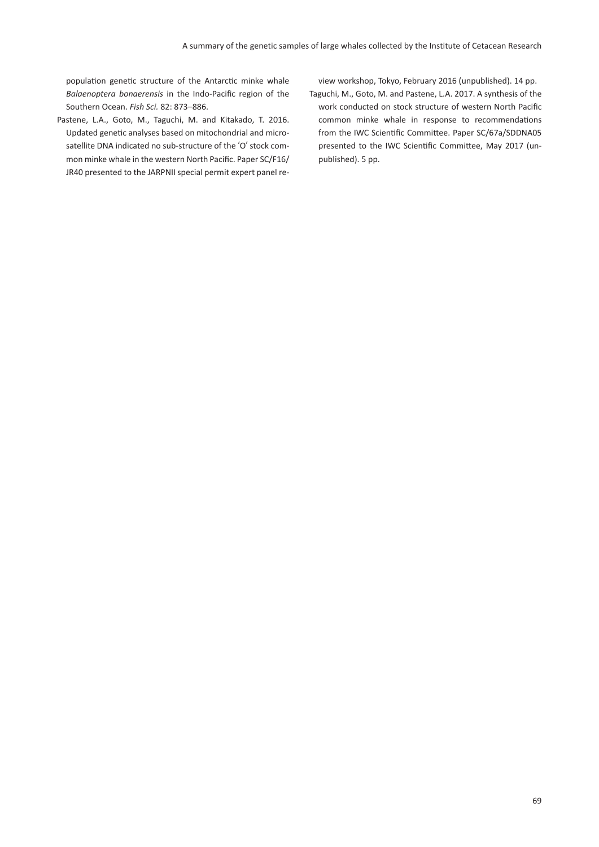population genetic structure of the Antarctic minke whale *Balaenoptera bonaerensis* in the Indo-Pacific region of the Southern Ocean. *Fish Sci.* 82: 873–886.

Pastene, L.A., Goto, M., Taguchi, M. and Kitakado, T. 2016. Updated genetic analyses based on mitochondrial and microsatellite DNA indicated no sub-structure of the ʻO' stock common minke whale in the western North Pacific. Paper SC/F16/ JR40 presented to the JARPNII special permit expert panel review workshop, Tokyo, February 2016 (unpublished). 14 pp.

Taguchi, M., Goto, M. and Pastene, L.A. 2017. A synthesis of the work conducted on stock structure of western North Pacific common minke whale in response to recommendations from the IWC Scientific Committee. Paper SC/67a/SDDNA05 presented to the IWC Scientific Committee, May 2017 (unpublished). 5 pp.